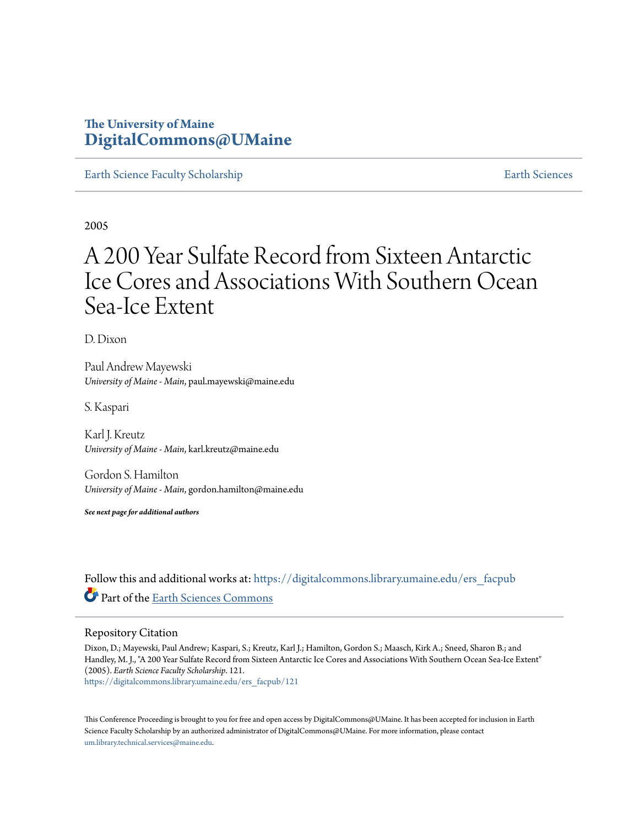## **The University of Maine [DigitalCommons@UMaine](https://digitalcommons.library.umaine.edu?utm_source=digitalcommons.library.umaine.edu%2Fers_facpub%2F121&utm_medium=PDF&utm_campaign=PDFCoverPages)**

[Earth Science Faculty Scholarship](https://digitalcommons.library.umaine.edu/ers_facpub?utm_source=digitalcommons.library.umaine.edu%2Fers_facpub%2F121&utm_medium=PDF&utm_campaign=PDFCoverPages) **[Earth Sciences](https://digitalcommons.library.umaine.edu/ers?utm_source=digitalcommons.library.umaine.edu%2Fers_facpub%2F121&utm_medium=PDF&utm_campaign=PDFCoverPages)** 

2005

# A 200 Year Sulfate Record from Sixteen Antarctic Ice Cores and Associations With Southern Ocean Sea-Ice Extent

D. Dixon

Paul Andrew Mayewski *University of Maine - Main*, paul.mayewski@maine.edu

S. Kaspari

Karl J. Kreutz *University of Maine - Main*, karl.kreutz@maine.edu

Gordon S. Hamilton *University of Maine - Main*, gordon.hamilton@maine.edu

*See next page for additional authors*

Follow this and additional works at: [https://digitalcommons.library.umaine.edu/ers\\_facpub](https://digitalcommons.library.umaine.edu/ers_facpub?utm_source=digitalcommons.library.umaine.edu%2Fers_facpub%2F121&utm_medium=PDF&utm_campaign=PDFCoverPages) Part of the [Earth Sciences Commons](http://network.bepress.com/hgg/discipline/153?utm_source=digitalcommons.library.umaine.edu%2Fers_facpub%2F121&utm_medium=PDF&utm_campaign=PDFCoverPages)

## Repository Citation

Dixon, D.; Mayewski, Paul Andrew; Kaspari, S.; Kreutz, Karl J.; Hamilton, Gordon S.; Maasch, Kirk A.; Sneed, Sharon B.; and Handley, M. J., "A 200 Year Sulfate Record from Sixteen Antarctic Ice Cores and Associations With Southern Ocean Sea-Ice Extent" (2005). *Earth Science Faculty Scholarship*. 121. [https://digitalcommons.library.umaine.edu/ers\\_facpub/121](https://digitalcommons.library.umaine.edu/ers_facpub/121?utm_source=digitalcommons.library.umaine.edu%2Fers_facpub%2F121&utm_medium=PDF&utm_campaign=PDFCoverPages)

This Conference Proceeding is brought to you for free and open access by DigitalCommons@UMaine. It has been accepted for inclusion in Earth Science Faculty Scholarship by an authorized administrator of DigitalCommons@UMaine. For more information, please contact [um.library.technical.services@maine.edu](mailto:um.library.technical.services@maine.edu).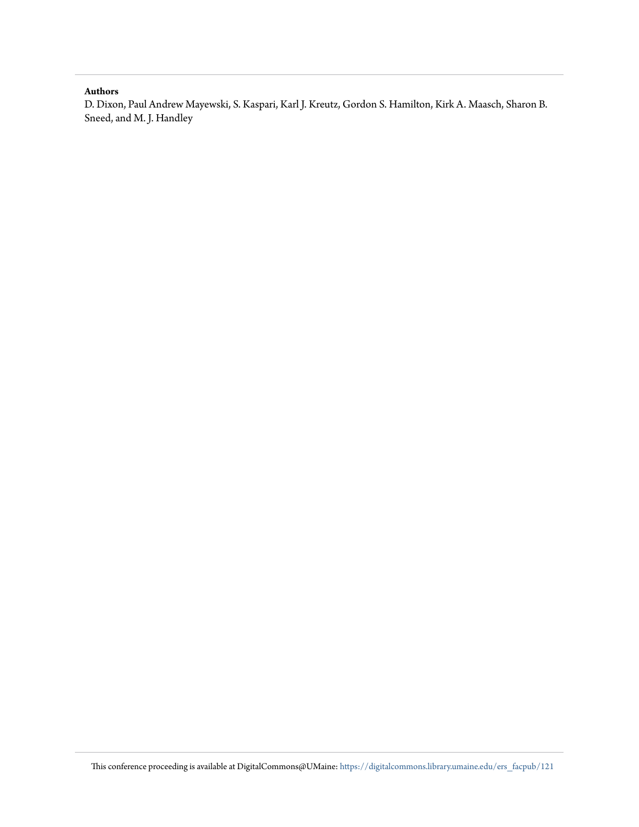## **Authors**

D. Dixon, Paul Andrew Mayewski, S. Kaspari, Karl J. Kreutz, Gordon S. Hamilton, Kirk A. Maasch, Sharon B. Sneed, and M. J. Handley

This conference proceeding is available at DigitalCommons@UMaine: [https://digitalcommons.library.umaine.edu/ers\\_facpub/121](https://digitalcommons.library.umaine.edu/ers_facpub/121?utm_source=digitalcommons.library.umaine.edu%2Fers_facpub%2F121&utm_medium=PDF&utm_campaign=PDFCoverPages)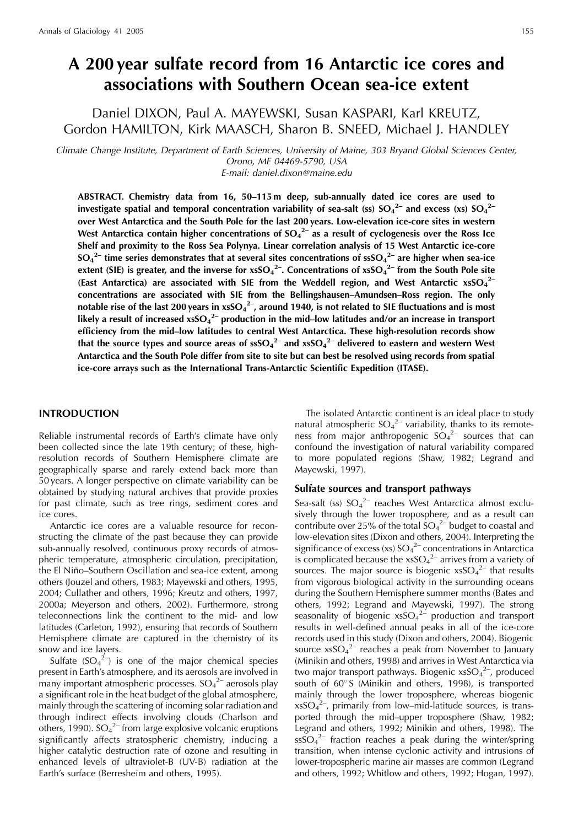## A 200 year sulfate record from 16 Antarctic ice cores and associations with Southern Ocean sea-ice extent

Daniel DIXON, Paul A. MAYEWSKI, Susan KASPARI, Karl KREUTZ, Gordon HAMILTON, Kirk MAASCH, Sharon B. SNEED, Michael J. HANDLEY

Climate Change Institute, Department of Earth Sciences, University of Maine, 303 Bryand Global Sciences Center, Orono, ME 04469-5790, USA E-mail: daniel.dixon@maine.edu

ABSTRACT. Chemistry data from 16, 50-115 m deep, sub-annually dated ice cores are used to investigate spatial and temporal concentration variability of sea-salt (ss)  $SO_4^{2-}$  and excess (xs)  $SO_4^{2-}$ over West Antarctica and the South Pole for the last 200 years. Low-elevation ice-core sites in western West Antarctica contain higher concentrations of  $SO_4^{2-}$  as a result of cyclogenesis over the Ross Ice Shelf and proximity to the Ross Sea Polynya. Linear correlation analysis of 15 West Antarctic ice-core  $SO_4^2$  time series demonstrates that at several sites concentrations of ssS $O_4^2$  are higher when sea-ice extent (SIE) is greater, and the inverse for  $x\ s{SO_4}^{2-}$ . Concentrations of  $x\ s{SO_4}^{2-}$  from the South Pole site (East Antarctica) are associated with SIE from the Weddell region, and West Antarctic  $x$ sSO<sub>4</sub><sup>2</sup> concentrations are associated with SIE from the Bellingshausen-Amundsen-Ross region. The only notable rise of the last 200 years in  $x\ s{SO_4}^{2-}$ , around 1940, is not related to SIE fluctuations and is most likely a result of increased  $xSO_4^2$  production in the mid-low latitudes and/or an increase in transport efficiency from the mid-low latitudes to central West Antarctica. These high-resolution records show that the source types and source areas of  $\text{ssSo}_{4}^{2-}$  and  $\text{xsSo}_{4}^{2-}$  delivered to eastern and western West Antarctica and the South Pole differ from site to site but can best be resolved using records from spatial ice-core arrays such as the International Trans-Antarctic Scientific Expedition (ITASE).

## **INTRODUCTION**

Reliable instrumental records of Earth's climate have only been collected since the late 19th century; of these, highresolution records of Southern Hemisphere climate are geographically sparse and rarely extend back more than 50 years. A longer perspective on climate variability can be obtained by studying natural archives that provide proxies for past climate, such as tree rings, sediment cores and ice cores.

Antarctic ice cores are a valuable resource for reconstructing the climate of the past because they can provide sub-annually resolved, continuous proxy records of atmospheric temperature, atmospheric circulation, precipitation, the El Niño-Southern Oscillation and sea-ice extent, among others (Jouzel and others, 1983; Mayewski and others, 1995, 2004; Cullather and others, 1996; Kreutz and others, 1997, 2000a; Meyerson and others, 2002). Furthermore, strong teleconnections link the continent to the mid- and low latitudes (Carleton, 1992), ensuring that records of Southern Hemisphere climate are captured in the chemistry of its snow and ice layers.

Sulfate  $(SO_4^2)$  is one of the major chemical species present in Earth's atmosphere, and its aerosols are involved in many important atmospheric processes.  $SO_4^2$  aerosols play a significant role in the heat budget of the global atmosphere, mainly through the scattering of incoming solar radiation and through indirect effects involving clouds (Charlson and others, 1990).  $SO_4^2$ -from large explosive volcanic eruptions significantly affects stratospheric chemistry, inducing a higher catalytic destruction rate of ozone and resulting in enhanced levels of ultraviolet-B (UV-B) radiation at the Earth's surface (Berresheim and others, 1995).

The isolated Antarctic continent is an ideal place to study natural atmospheric  $SO_4^2$  variability, thanks to its remoteness from major anthropogenic  $SO_4^2$  sources that can confound the investigation of natural variability compared to more populated regions (Shaw, 1982; Legrand and Mayewski, 1997).

## Sulfate sources and transport pathways

Sea-salt (ss)  $SO_4^{2-}$  reaches West Antarctica almost exclusively through the lower troposphere, and as a result can contribute over 25% of the total  $SO_4^2$  budget to coastal and low-elevation sites (Dixon and others, 2004). Interpreting the significance of excess (xs)  $SO_4^2$  concentrations in Antarctica is complicated because the  $x$ sSO<sub>4</sub><sup>2-</sup> arrives from a variety of sources. The major source is biogenic  $x$ sSO<sub>4</sub><sup>2-</sup> that results from vigorous biological activity in the surrounding oceans during the Southern Hemisphere summer months (Bates and others, 1992; Legrand and Mayewski, 1997). The strong seasonality of biogenic  $x\,s\,O_4^{2}$  production and transport results in well-defined annual peaks in all of the ice-core records used in this study (Dixon and others, 2004). Biogenic source  $x$ sSO<sub>4</sub><sup>2-</sup> reaches a peak from November to January (Minikin and others, 1998) and arrives in West Antarctica via two major transport pathways. Biogenic  $x$ s $SO_4^2$ , produced south of 60°S (Minikin and others, 1998), is transported mainly through the lower troposphere, whereas biogenic  $x\,s\,SO_4{}^{2-}$ , primarily from low–mid-latitude sources, is transported through the mid-upper troposphere (Shaw, 1982; Legrand and others, 1992; Minikin and others, 1998). The  $\frac{\text{ssSO}_4^2}{\text{cm}^2}$  fraction reaches a peak during the winter/spring transition, when intense cyclonic activity and intrusions of lower-tropospheric marine air masses are common (Legrand and others, 1992; Whitlow and others, 1992; Hogan, 1997).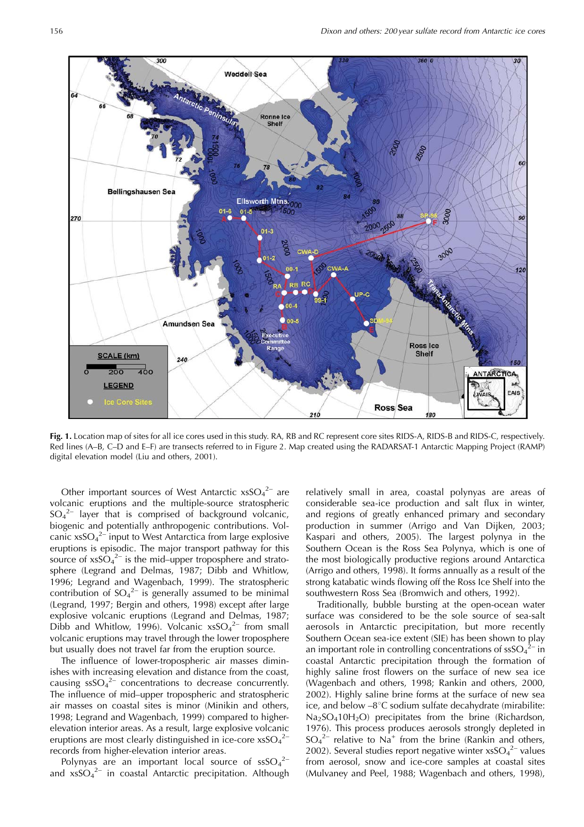

Fig. 1. Location map of sites for all ice cores used in this study. RA, RB and RC represent core sites RIDS-A, RIDS-B and RIDS-C, respectively. Red lines (A-B, C-D and E-F) are transects referred to in Figure 2. Map created using the RADARSAT-1 Antarctic Mapping Project (RAMP) digital elevation model (Liu and others, 2001).

Other important sources of West Antarctic  $x$ sSO<sub>4</sub><sup>2-</sup> are volcanic eruptions and the multiple-source stratospheric  $SO_4{}^{2-}$  layer that is comprised of background volcanic, biogenic and potentially anthropogenic contributions. Volcanic  $x\,s\,s\,O_4^2$  input to West Antarctica from large explosive eruptions is episodic. The major transport pathway for this source of  $x$ s $SO_4^2$  is the mid-upper troposphere and stratosphere (Legrand and Delmas, 1987; Dibb and Whitlow, 1996; Legrand and Wagenbach, 1999). The stratospheric contribution of  $SO_4^{2-}$  is generally assumed to be minimal (Legrand, 1997; Bergin and others, 1998) except after large explosive volcanic eruptions (Legrand and Delmas, 1987; Dibb and Whitlow, 1996). Volcanic  $xSO_4^{2-}$  from small volcanic eruptions may travel through the lower troposphere but usually does not travel far from the eruption source.

The influence of lower-tropospheric air masses diminishes with increasing elevation and distance from the coast, causing  $\text{ssSO}_4^{2-}$  concentrations to decrease concurrently. The influence of mid-upper tropospheric and stratospheric air masses on coastal sites is minor (Minikin and others, 1998; Legrand and Wagenbach, 1999) compared to higherelevation interior areas. As a result, large explosive volcanic eruptions are most clearly distinguished in ice-core  $x$ sSO<sub>4</sub><sup>2-</sup> records from higher-elevation interior areas.

Polynyas are an important local source of  $\text{ssSO}_4^2$ and  $xsSO_4^2$  in coastal Antarctic precipitation. Although

relatively small in area, coastal polynyas are areas of considerable sea-ice production and salt flux in winter, and regions of greatly enhanced primary and secondary production in summer (Arrigo and Van Dijken, 2003; Kaspari and others, 2005). The largest polynya in the Southern Ocean is the Ross Sea Polynya, which is one of the most biologically productive regions around Antarctica (Arrigo and others, 1998). It forms annually as a result of the strong katabatic winds flowing off the Ross Ice Shelf into the southwestern Ross Sea (Bromwich and others, 1992).

Traditionally, bubble bursting at the open-ocean water surface was considered to be the sole source of sea-salt aerosols in Antarctic precipitation, but more recently Southern Ocean sea-ice extent (SIE) has been shown to play an important role in controlling concentrations of  $\text{ssSO}_4^2$ <sup>–</sup> in coastal Antarctic precipitation through the formation of highly saline frost flowers on the surface of new sea ice (Wagenbach and others, 1998; Rankin and others, 2000, 2002). Highly saline brine forms at the surface of new sea ice, and below  $-8^{\circ}$ C sodium sulfate decahydrate (mirabilite: Na<sub>2</sub>SO<sub>4</sub>10H<sub>2</sub>O) precipitates from the brine (Richardson, 1976). This process produces aerosols strongly depleted in  $SO_4^2$  relative to Na<sup>+</sup> from the brine (Rankin and others, 2002). Several studies report negative winter  $x$ sSO<sub>4</sub><sup>2-</sup> values from aerosol, snow and ice-core samples at coastal sites (Mulvaney and Peel, 1988; Wagenbach and others, 1998),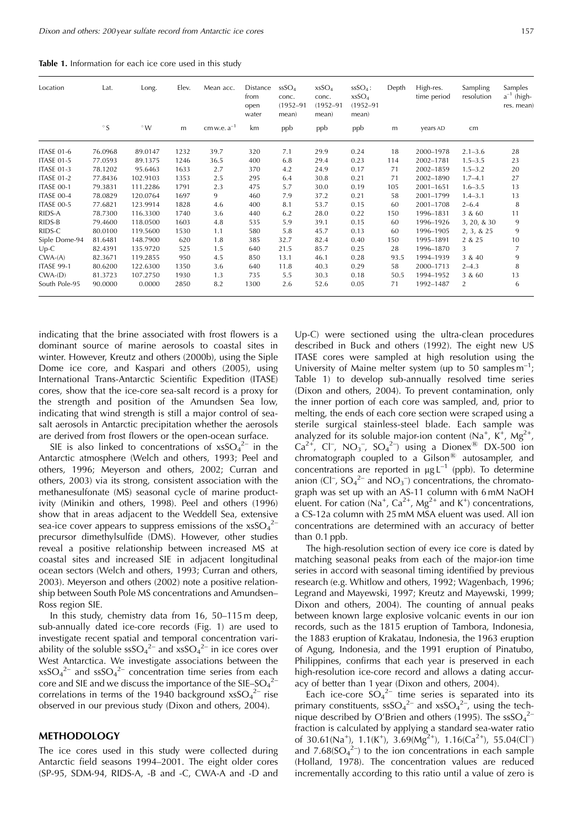|  |  | <b>Table 1.</b> Information for each ice core used in this study |  |  |  |  |  |  |  |  |  |  |
|--|--|------------------------------------------------------------------|--|--|--|--|--|--|--|--|--|--|
|--|--|------------------------------------------------------------------|--|--|--|--|--|--|--|--|--|--|

| Location          | Lat.      | Long.       | Elev. | Mean acc.        | Distance<br>from<br>open<br>water | SSSO <sub>4</sub><br>conc.<br>$(1952 - 91)$<br>mean) | $x$ s $SO4$<br>conc.<br>$(1952 - 91)$<br>mean) | $SSO4$ :<br>$x$ s $SO4$<br>$(1952 - 91)$<br>mean) | Depth | High-res.<br>time period | <b>Sampling</b><br>resolution | Samples<br>$a^{-1}$ (high-<br>res. mean) |
|-------------------|-----------|-------------|-------|------------------|-----------------------------------|------------------------------------------------------|------------------------------------------------|---------------------------------------------------|-------|--------------------------|-------------------------------|------------------------------------------|
|                   | $\circ$ S | $\degree W$ | m     | cm w.e. $a^{-1}$ | km                                | ppb                                                  | ppb                                            | ppb                                               | m     | years AD                 | cm                            |                                          |
| <b>ITASE 01-6</b> | 76.0968   | 89.0147     | 1232  | 39.7             | 320                               | 7.1                                                  | 29.9                                           | 0.24                                              | 18    | 2000-1978                | $2.1 - 3.6$                   | 28                                       |
| <b>ITASE 01-5</b> | 77.0593   | 89.1375     | 1246  | 36.5             | 400                               | 6.8                                                  | 29.4                                           | 0.23                                              | 114   | 2002-1781                | $1.5 - 3.5$                   | 23                                       |
| <b>ITASE 01-3</b> | 78.1202   | 95.6463     | 1633  | 2.7              | 370                               | 4.2                                                  | 24.9                                           | 0.17                                              | 71    | 2002-1859                | $1.5 - 3.2$                   | 20                                       |
| <b>ITASE 01-2</b> | 77.8436   | 102.9103    | 1353  | 2.5              | 295                               | 6.4                                                  | 30.8                                           | 0.21                                              | 71    | 2002-1890                | $1.7 - 4.1$                   | 27                                       |
| ITASE 00-1        | 79.3831   | 111.2286    | 1791  | 2.3              | 475                               | 5.7                                                  | 30.0                                           | 0.19                                              | 105   | 2001-1651                | $1.6 - 3.5$                   | 13                                       |
| ITASE 00-4        | 78.0829   | 120.0764    | 1697  | 9                | 460                               | 7.9                                                  | 37.2                                           | 0.21                                              | 58    | 2001-1799                | $1.4 - 3.1$                   | 13                                       |
| <b>ITASE 00-5</b> | 77.6821   | 123.9914    | 1828  | 4.6              | 400                               | 8.1                                                  | 53.7                                           | 0.15                                              | 60    | 2001-1708                | $2 - 6.4$                     | 8                                        |
| RIDS-A            | 78.7300   | 116.3300    | 1740  | 3.6              | 440                               | 6.2                                                  | 28.0                                           | 0.22                                              | 150   | 1996-1831                | 3 & 60                        | 11                                       |
| RIDS-B            | 79.4600   | 118.0500    | 1603  | 4.8              | 535                               | 5.9                                                  | 39.1                                           | 0.15                                              | 60    | 1996-1926                | 3, 20, & 30                   | 9                                        |
| RIDS-C            | 80.0100   | 119.5600    | 1530  | 1.1              | 580                               | 5.8                                                  | 45.7                                           | 0.13                                              | 60    | 1996-1905                | 2, 3, 8, 25                   | 9                                        |
| Siple Dome-94     | 81.6481   | 148.7900    | 620   | 1.8              | 385                               | 32.7                                                 | 82.4                                           | 0.40                                              | 150   | 1995-1891                | 2 & 25                        | 10                                       |
| $Up-C$            | 82.4391   | 135.9720    | 525   | 1.5              | 640                               | 21.5                                                 | 85.7                                           | 0.25                                              | 28    | 1996-1870                | 3                             | 7                                        |
| $CWA-(A)$         | 82.3671   | 119.2855    | 950   | 4.5              | 850                               | 13.1                                                 | 46.1                                           | 0.28                                              | 93.5  | 1994-1939                | 3 & 40                        | 9                                        |
| <b>ITASE 99-1</b> | 80.6200   | 122.6300    | 1350  | 3.6              | 640                               | 11.8                                                 | 40.3                                           | 0.29                                              | 58    | 2000-1713                | $2 - 4.3$                     | 8                                        |
| CWA(D)            | 81.3723   | 107.2750    | 1930  | 1.3              | 735                               | 5.5                                                  | 30.3                                           | 0.18                                              | 50.5  | 1994-1952                | 3 & 60                        | 13                                       |
| South Pole-95     | 90.0000   | 0.0000      | 2850  | 8.2              | 1300                              | 2.6                                                  | 52.6                                           | 0.05                                              | 71    | 1992-1487                | $\overline{2}$                | 6                                        |

indicating that the brine associated with frost flowers is a dominant source of marine aerosols to coastal sites in winter. However, Kreutz and others (2000b), using the Siple Dome ice core, and Kaspari and others (2005), using International Trans-Antarctic Scientific Expedition (ITASE) cores, show that the ice-core sea-salt record is a proxy for the strength and position of the Amundsen Sea low, indicating that wind strength is still a major control of seasalt aerosols in Antarctic precipitation whether the aerosols are derived from frost flowers or the open-ocean surface.

SIE is also linked to concentrations of  $xSO<sub>4</sub><sup>2-</sup>$  in the Antarctic atmosphere (Welch and others, 1993; Peel and others, 1996; Meyerson and others, 2002; Curran and others, 2003) via its strong, consistent association with the methanesulfonate (MS) seasonal cycle of marine productivity (Minikin and others, 1998). Peel and others (1996) show that in areas adjacent to the Weddell Sea, extensive sea-ice cover appears to suppress emissions of the  $x$ sSO<sub>4</sub><sup>2-</sup> precursor dimethylsulfide (DMS). However, other studies reveal a positive relationship between increased MS at coastal sites and increased SIE in adjacent longitudinal ocean sectors (Welch and others, 1993; Curran and others, 2003). Meyerson and others (2002) note a positive relationship between South Pole MS concentrations and Amundsen-Ross region SIE.

In this study, chemistry data from 16, 50-115 m deep, sub-annually dated ice-core records (Fig. 1) are used to investigate recent spatial and temporal concentration variability of the soluble  $\text{ssSO}_4{}^{2-}$  and  $\text{xsSO}_4{}^{2-}$  in ice cores over West Antarctica. We investigate associations between the  $x$ sSO<sub>4</sub><sup>2-</sup> and ssSO<sub>4</sub><sup>2-</sup> concentration time series from each core and SIE and we discuss the importance of the SIE–SO<sub>4</sub><sup>2–</sup> correlations in terms of the 1940 background  $xSO<sub>4</sub><sup>2–</sup>$  rise observed in our previous study (Dixon and others, 2004).

## **METHODOLOGY**

The ice cores used in this study were collected during Antarctic field seasons 1994-2001. The eight older cores (SP-95, SDM-94, RIDS-A, -B and -C, CWA-A and -D and

Up-C) were sectioned using the ultra-clean procedures described in Buck and others (1992). The eight new US ITASE cores were sampled at high resolution using the University of Maine melter system (up to 50 samples  $m^{-1}$ ; Table 1) to develop sub-annually resolved time series (Dixon and others, 2004). To prevent contamination, only the inner portion of each core was sampled, and, prior to melting, the ends of each core section were scraped using a sterile surgical stainless-steel blade. Each sample was analyzed for its soluble major-ion content (Na<sup>+</sup>, K<sup>+</sup>, Mg<sup>2+</sup>,  $Ca^{2+}$ , Cl<sup>-</sup>, NO<sub>3</sub><sup>-</sup>, SO<sub>4</sub><sup>2-</sup>) using a Dionex<sup>®</sup> DX-500 ion chromatograph coupled to a  $\overline{G}$  cilson<sup>®</sup> autosampler, and concentrations are reported in  $\mu g L^{-1}$  (ppb). To determine anion (Cl<sup>-</sup>, SO<sub>4</sub><sup>2-</sup> and NO<sub>3</sub><sup>-</sup>) concentrations, the chromatograph was set up with an AS-11 column with 6 mM NaOH eluent. For cation (Na<sup>+</sup>, Ca<sup>2+</sup>, Mg<sup>2+</sup> and K<sup>+</sup>) concentrations, a CS-12a column with 25 mM MSA eluent was used. All ion concentrations are determined with an accuracy of better than  $0.1$  ppb.

The high-resolution section of every ice core is dated by matching seasonal peaks from each of the major-ion time series in accord with seasonal timing identified by previous research (e.g. Whitlow and others, 1992; Wagenbach, 1996; Legrand and Mayewski, 1997; Kreutz and Mayewski, 1999; Dixon and others, 2004). The counting of annual peaks between known large explosive volcanic events in our ion records, such as the 1815 eruption of Tambora, Indonesia, the 1883 eruption of Krakatau, Indonesia, the 1963 eruption of Agung, Indonesia, and the 1991 eruption of Pinatubo, Philippines, confirms that each year is preserved in each high-resolution ice-core record and allows a dating accuracy of better than 1 year (Dixon and others, 2004).

Each ice-core  $SO_4^2$  time series is separated into its primary constituents,  $\text{ssSO}_4{}^{2-}$  and  $\text{xsSO}_4{}^{2-}$ , using the technique described by O'Brien and others (1995). The  $\text{ssSO}_4^{2-}$ fraction is calculated by applying a standard sea-water ratio of 30.61(Na<sup>+</sup>), 1.1(K<sup>+</sup>), 3.69(Mg<sup>2+</sup>), 1.16(Ca<sup>2+</sup>), 55.04(Cl<sup>-</sup>) and  $7.68(SO<sub>4</sub><sup>2</sup>)$  to the ion concentrations in each sample (Holland, 1978). The concentration values are reduced incrementally according to this ratio until a value of zero is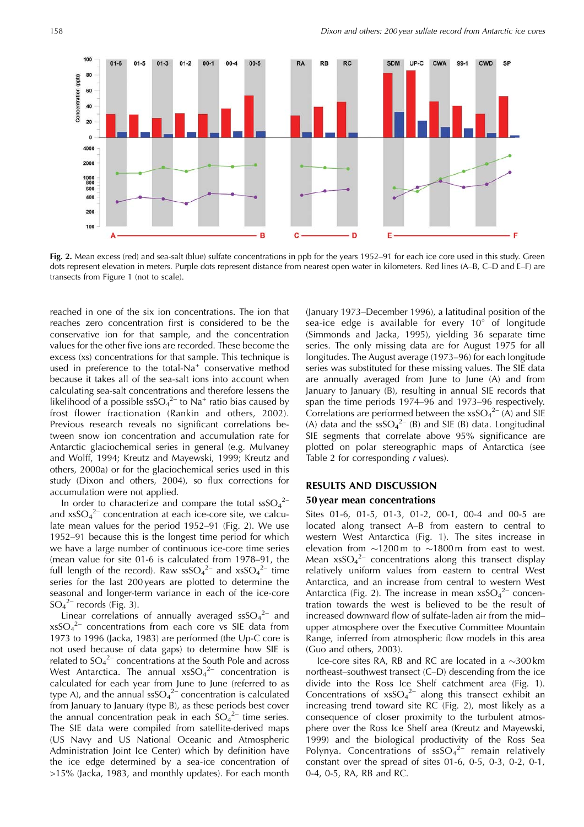

Fig. 2. Mean excess (red) and sea-salt (blue) sulfate concentrations in ppb for the years 1952-91 for each ice core used in this study. Green dots represent elevation in meters. Purple dots represent distance from nearest open water in kilometers. Red lines (A-B, C-D and E-F) are transects from Figure 1 (not to scale).

reached in one of the six ion concentrations. The ion that reaches zero concentration first is considered to be the conservative ion for that sample, and the concentration values for the other five ions are recorded. These become the excess (xs) concentrations for that sample. This technique is used in preference to the total-Na<sup>+</sup> conservative method because it takes all of the sea-salt ions into account when calculating sea-salt concentrations and therefore lessens the likelihood of a possible  $\text{ssSO}_4{}^{2-}$  to Na<sup>+</sup> ratio bias caused by frost flower fractionation (Rankin and others, 2002). Previous research reveals no significant correlations between snow ion concentration and accumulation rate for Antarctic glaciochemical series in general (e.g. Mulvaney and Wolff, 1994; Kreutz and Mayewski, 1999; Kreutz and others, 2000a) or for the glaciochemical series used in this study (Dixon and others, 2004), so flux corrections for accumulation were not applied.

In order to characterize and compare the total  $\text{ssSO}_4^{2-}$ and  $x$ sSO<sub>4</sub><sup>2</sup> concentration at each ice-core site, we calculate mean values for the period 1952-91 (Fig. 2). We use 1952–91 because this is the longest time period for which we have a large number of continuous ice-core time series (mean value for site 01-6 is calculated from 1978-91, the full length of the record). Raw  $\text{ssSO}_4{}^{2-}$  and  $\text{xsSO}_4{}^{2-}$  time series for the last 200 years are plotted to determine the seasonal and longer-term variance in each of the ice-core  $SO_4^2$ <sup>-</sup> records (Fig. 3).

Linear correlations of annually averaged  $ssSO<sub>4</sub><sup>2-</sup>$  and  $x$ s $SO_4^2$  concentrations from each core vs SIE data from 1973 to 1996 (Jacka, 1983) are performed (the Up-C core is not used because of data gaps) to determine how SIE is related to  $SO_4^2$  concentrations at the South Pole and across West Antarctica. The annual  $xsSO<sub>4</sub><sup>2-</sup>$  concentration is calculated for each year from June to June (referred to as type A), and the annual  $\text{ssSO}_4{}^{2-}$  concentration is calculated from January to January (type B), as these periods best cover the annual concentration peak in each  $SO_4^2$  time series. The SIE data were compiled from satellite-derived maps (US Navy and US National Oceanic and Atmospheric Administration Joint Ice Center) which by definition have the ice edge determined by a sea-ice concentration of >15% (Jacka, 1983, and monthly updates). For each month (January 1973–December 1996), a latitudinal position of the sea-ice edge is available for every 10° of longitude (Simmonds and Jacka, 1995), yielding 36 separate time series. The only missing data are for August 1975 for all longitudes. The August average (1973-96) for each longitude series was substituted for these missing values. The SIE data are annually averaged from June to June (A) and from January to January (B), resulting in annual SIE records that span the time periods 1974-96 and 1973-96 respectively. Correlations are performed between the  $xSO<sub>4</sub><sup>2-</sup> (A)$  and SIE (A) data and the  $\text{ssSO}_4^{2-}$  (B) and SIE (B) data. Longitudinal SIE segments that correlate above 95% significance are plotted on polar stereographic maps of Antarctica (see Table 2 for corresponding  $r$  values).

## **RESULTS AND DISCUSSION**

## 50 year mean concentrations

Sites 01-6, 01-5, 01-3, 01-2, 00-1, 00-4 and 00-5 are located along transect A-B from eastern to central to western West Antarctica (Fig. 1). The sites increase in elevation from  $\sim$ 1200 m to  $\sim$ 1800 m from east to west. Mean  $x\,s{SO_4}^{2-}$  concentrations along this transect display relatively uniform values from eastern to central West Antarctica, and an increase from central to western West Antarctica (Fig. 2). The increase in mean  $xsSO<sub>4</sub><sup>2-</sup> concen$ tration towards the west is believed to be the result of increased downward flow of sulfate-laden air from the midupper atmosphere over the Executive Committee Mountain Range, inferred from atmospheric flow models in this area (Guo and others, 2003).

Ice-core sites RA, RB and RC are located in a  $\sim$ 300 km northeast-southwest transect (C-D) descending from the ice divide into the Ross Ice Shelf catchment area (Fig. 1). Concentrations of  $xSO<sub>4</sub><sup>2-</sup>$  along this transect exhibit an increasing trend toward site RC (Fig. 2), most likely as a consequence of closer proximity to the turbulent atmosphere over the Ross Ice Shelf area (Kreutz and Mayewski, 1999) and the biological productivity of the Ross Sea Polynya. Concentrations of  $sSO<sub>4</sub><sup>2</sup>$  remain relatively constant over the spread of sites 01-6, 0-5, 0-3, 0-2, 0-1, 0-4, 0-5, RA, RB and RC.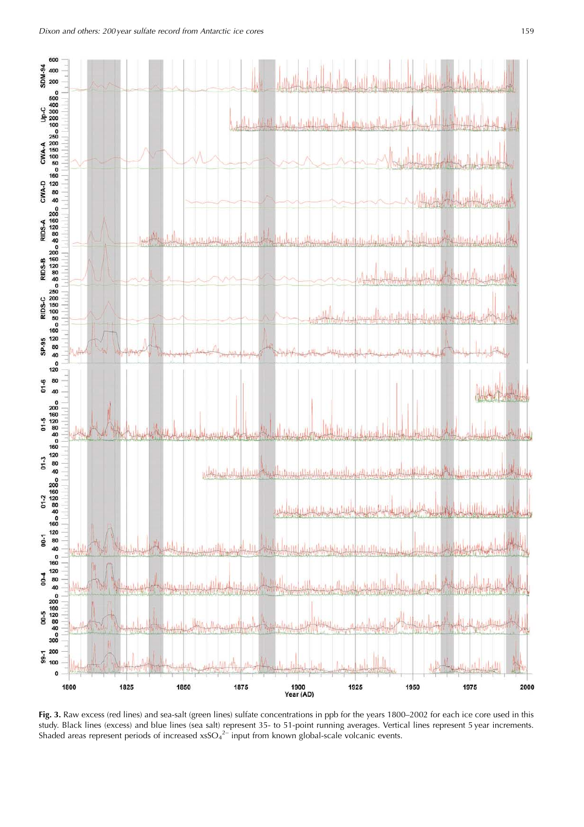

Fig. 3. Raw excess (red lines) and sea-salt (green lines) sulfate concentrations in ppb for the years 1800-2002 for each ice core used in this study. Black lines (excess) and blue lines (sea salt) represent 35- to 51-point running averages. Vertical lines represent 5 year increments.<br>Shaded areas represent periods of increased xsSO<sub>4</sub><sup>2-</sup> input from known global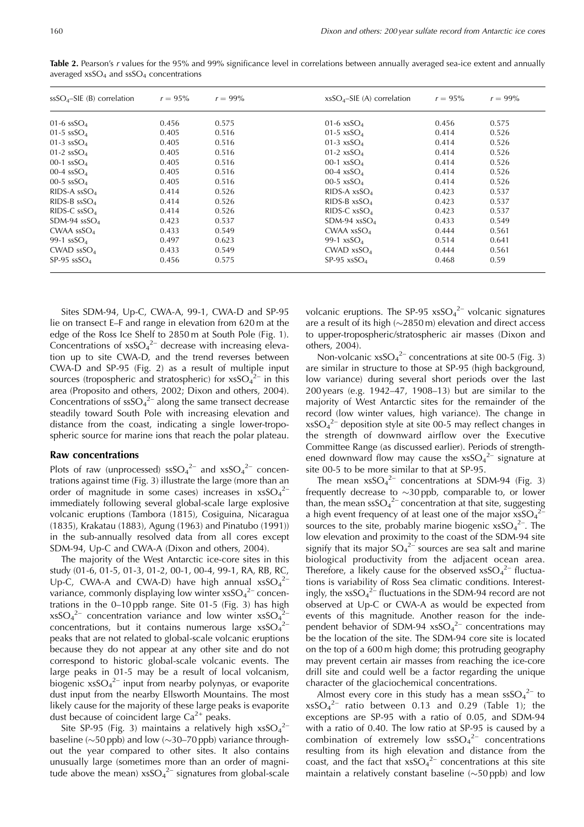| $ssSO4-SIE$ (B) correlation | $r = 95\%$ | $r = 99\%$ | $x$ sSO <sub>4</sub> -SIE (A) correlation | $r = 95\%$ | $r = 99\%$ |  |
|-----------------------------|------------|------------|-------------------------------------------|------------|------------|--|
| 01-6 $ssSO4$                | 0.456      | 0.575      | 01-6 $x$ sSO <sub>4</sub>                 | 0.456      | 0.575      |  |
| 01-5 $ssSO4$                | 0.405      | 0.516      | 01-5 $x$ sSO <sub>4</sub>                 | 0.414      | 0.526      |  |
| 01-3 $ssSO4$                | 0.405      | 0.516      | 01-3 $x\text{sSO}_4$                      | 0.414      | 0.526      |  |
| 01-2 $ssSO4$                | 0.405      | 0.516      | 01-2 $xsSO_4$                             | 0.414      | 0.526      |  |
| 00-1 $ssSO4$                | 0.405      | 0.516      | 00-1 $x\text{sSO}_4$                      | 0.414      | 0.526      |  |
| 00-4 $ssSO4$                | 0.405      | 0.516      | 00-4 $x$ sSO <sub>4</sub>                 | 0.414      | 0.526      |  |
| 00-5 $ssSO4$                | 0.405      | 0.516      | 00-5 $x$ sSO <sub>4</sub>                 | 0.414      | 0.526      |  |
| RIDS-A $ssSO4$              | 0.414      | 0.526      | RIDS-A $x$ sSO <sub>4</sub>               | 0.423      | 0.537      |  |
| $RIDS-B$ ss $SO4$           | 0.414      | 0.526      | RIDS-B $x$ sSO <sub>4</sub>               | 0.423      | 0.537      |  |
| RIDS-C $ssSO4$              | 0.414      | 0.526      | RIDS-C $x$ sSO <sub>4</sub>               | 0.423      | 0.537      |  |
| SDM-94 $ssSO4$              | 0.423      | 0.537      | SDM-94 $x$ sSO <sub>4</sub>               | 0.433      | 0.549      |  |
| CWAA $ssSO4$                | 0.433      | 0.549      | CWAA $x$ sSO <sub>4</sub>                 | 0.444      | 0.561      |  |
| 99-1 $ssSO4$                | 0.497      | 0.623      | 99-1 $xsSO4$                              | 0.514      | 0.641      |  |
| CWAD $ssSO4$                | 0.433      | 0.549      | CWAD $x$ sSO <sub>4</sub>                 | 0.444      | 0.561      |  |
| SP-95 $ssSO4$               | 0.456      | 0.575      | SP-95 $x$ sSO <sub>4</sub>                | 0.468      | 0.59       |  |

Table 2. Pearson's r values for the 95% and 99% significance level in correlations between annually averaged sea-ice extent and annually averaged  $x$ sSO<sub>4</sub> and  $s$ sSO<sub>4</sub> concentrations

Sites SDM-94, Up-C, CWA-A, 99-1, CWA-D and SP-95 lie on transect E–F and range in elevation from 620 m at the edge of the Ross Ice Shelf to 2850 m at South Pole (Fig. 1). Concentrations of  $xsSO<sub>4</sub><sup>2-</sup>$  decrease with increasing elevation up to site CWA-D, and the trend reverses between CWA-D and SP-95 (Fig. 2) as a result of multiple input sources (tropospheric and stratospheric) for  $xSO<sub>4</sub><sup>2–</sup>$  in this area (Proposito and others, 2002; Dixon and others, 2004). Concentrations of  $\text{ssSO}_4^{2-}$  along the same transect decrease steadily toward South Pole with increasing elevation and distance from the coast, indicating a single lower-tropospheric source for marine ions that reach the polar plateau.

#### **Raw concentrations**

Plots of raw (unprocessed)  $\text{ssSO}_4{}^{2-}$  and  $\text{xsSO}_4{}^{2-}$  concentrations against time (Fig. 3) illustrate the large (more than an order of magnitude in some cases) increases in  $xsSO_4^2$ immediately following several global-scale large explosive volcanic eruptions (Tambora (1815), Cosiguina, Nicaragua (1835), Krakatau (1883), Agung (1963) and Pinatubo (1991)) in the sub-annually resolved data from all cores except SDM-94, Up-C and CWA-A (Dixon and others, 2004).

The majority of the West Antarctic ice-core sites in this study (01-6, 01-5, 01-3, 01-2, 00-1, 00-4, 99-1, RA, RB, RC, Up-C, CWA-A and CWA-D) have high annual  $xsSO_4^{2-}$ variance, commonly displaying low winter  $x$ s $SO_4^2$ <sup>-</sup> concentrations in the 0-10 ppb range. Site 01-5 (Fig. 3) has high  $x$ sSO<sub>4</sub><sup>2-</sup> concentration variance and low winter  $x$ sSO<sub>4</sub><sup>2-</sup> concentrations, but it contains numerous large  $x$ sSO<sub>4</sub><sup>2-</sup> peaks that are not related to global-scale volcanic eruptions because they do not appear at any other site and do not correspond to historic global-scale volcanic events. The large peaks in 01-5 may be a result of local volcanism, biogenic  $x$ sSO<sub>4</sub><sup>2-</sup> input from nearby polynyas, or evaporite dust input from the nearby Ellsworth Mountains. The most likely cause for the majority of these large peaks is evaporite dust because of coincident large  $Ca<sup>2+</sup>$  peaks.

Site SP-95 (Fig. 3) maintains a relatively high  $xsSO<sub>4</sub><sup>2</sup>$ baseline ( $\sim$ 50 ppb) and low ( $\sim$ 30–70 ppb) variance throughout the year compared to other sites. It also contains unusually large (sometimes more than an order of magnitude above the mean)  $x$ sSO<sub>4</sub><sup>2-</sup> signatures from global-scale volcanic eruptions. The SP-95  $x\,s{SO_4}^{2-}$  volcanic signatures are a result of its high  $(\sim 2850 \,\mathrm{m})$  elevation and direct access to upper-tropospheric/stratospheric air masses (Dixon and others, 2004).

Non-volcanic  $x\,s{SO_4}^{2-}$  concentrations at site 00-5 (Fig. 3) are similar in structure to those at SP-95 (high background, low variance) during several short periods over the last 200 years (e.g. 1942-47, 1908-13) but are similar to the majority of West Antarctic sites for the remainder of the record (low winter values, high variance). The change in  $x$ sSO<sub>4</sub><sup>2-</sup> deposition style at site 00-5 may reflect changes in the strength of downward airflow over the Executive Committee Range (as discussed earlier). Periods of strengthened downward flow may cause the  $x$ sSO<sub>4</sub><sup>2-</sup> signature at site 00-5 to be more similar to that at SP-95.

The mean  $xsSO_4^{2-}$  concentrations at SDM-94 (Fig. 3) frequently decrease to  $\sim$ 30 ppb, comparable to, or lower than, the mean  $\text{sSO}_4{}^{2-}$  concentration at that site, suggesting a high event frequency of at least one of the major  $x\overline{s}SO_4^{2-}$ sources to the site, probably marine biogenic  $xSO<sub>4</sub><sup>2</sup>$ . The low elevation and proximity to the coast of the SDM-94 site signify that its major  $SO_4^2$  sources are sea salt and marine biological productivity from the adjacent ocean area. Therefore, a likely cause for the observed  $x$ sSO<sub>4</sub><sup>2-</sup> fluctuations is variability of Ross Sea climatic conditions. Interestingly, the  $x$ sSO<sub>4</sub><sup>2'</sup> fluctuations in the SDM-94 record are not observed at Up-C or CWA-A as would be expected from events of this magnitude. Another reason for the independent behavior of SDM-94  $x\ s\rm{SO}_{4}^{2-}$  concentrations may be the location of the site. The SDM-94 core site is located on the top of a 600 m high dome; this protruding geography may prevent certain air masses from reaching the ice-core drill site and could well be a factor regarding the unique character of the glaciochemical concentrations.

Almost every core in this study has a mean  $\text{ssSO}_4{}^{2-}$  to  $x\sqrt{504}$  ratio between 0.13 and 0.29 (Table 1); the exceptions are SP-95 with a ratio of 0.05, and SDM-94 with a ratio of 0.40. The low ratio at SP-95 is caused by a combination of extremely low  $\text{ssSO}_4^{2-}$  concentrations resulting from its high elevation and distance from the coast, and the fact that  $x\overline{sSO_4}^{2-}$  concentrations at this site maintain a relatively constant baseline  $(\sim 50 \text{ pb})$  and low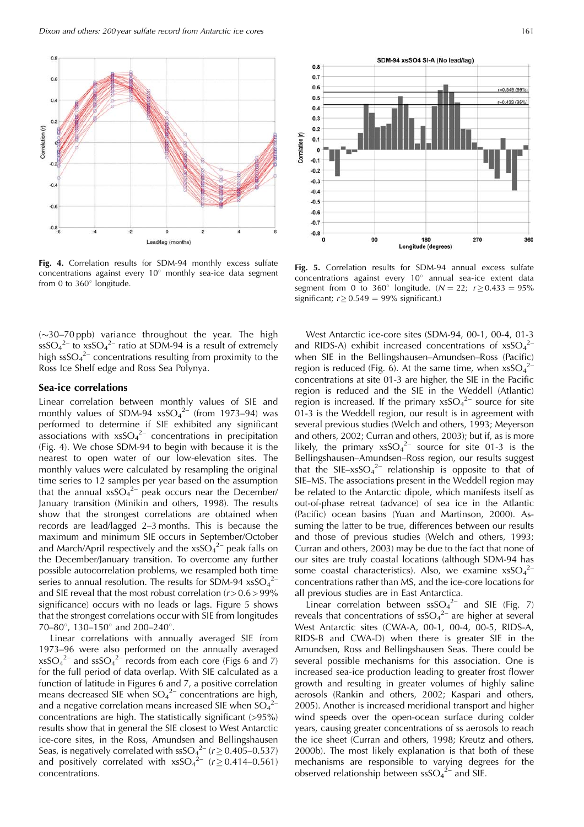

Fig. 4. Correlation results for SDM-94 monthly excess sulfate concentrations against every 10° monthly sea-ice data segment from 0 to 360° longitude.

 $(\sim]30-70$  ppb) variance throughout the year. The high  $\text{ssSO}_4{}^{2-}$  to  $\text{xsSO}_4{}^{2-}$  ratio at SDM-94 is a result of extremely high  $\text{ssSO}_4^{2-}$  concentrations resulting from proximity to the Ross Ice Shelf edge and Ross Sea Polynya.

### Sea-ice correlations

Linear correlation between monthly values of SIE and monthly values of SDM-94  $xsSO<sub>4</sub><sup>2-/-</sup>$  (from 1973–94) was performed to determine if SIE exhibited any significant associations with  $x\,s\,SO_4{}^{2-}$  concentrations in precipitation (Fig. 4). We chose SDM-94 to begin with because it is the nearest to open water of our low-elevation sites. The monthly values were calculated by resampling the original time series to 12 samples per year based on the assumption that the annual  $x\,SO_4^{2-}$  peak occurs near the December/ January transition (Minikin and others, 1998). The results show that the strongest correlations are obtained when records are lead/lagged 2-3 months. This is because the maximum and minimum SIE occurs in September/October and March/April respectively and the  $x$ s $SO_4^2$  peak falls on the December/January transition. To overcome any further possible autocorrelation problems, we resampled both time series to annual resolution. The results for SDM-94  $x$ sSO<sub>4</sub><sup>2-</sup> and SIE reveal that the most robust correlation  $(r > 0.6 > 99\%)$ significance) occurs with no leads or lags. Figure 5 shows that the strongest correlations occur with SIE from longitudes 70-80°, 130-150° and 200-240°.

Linear correlations with annually averaged SIE from 1973-96 were also performed on the annually averaged  $x\text{sSO}_4{}^{2-}$  and  $\text{s}\text{sSO}_4{}^{2-}$  records from each core (Figs 6 and 7) for the full period of data overlap. With SIE calculated as a function of latitude in Figures 6 and 7, a positive correlation means decreased SIE when  $SO_4^{2-}$  concentrations are high, and a negative correlation means increased SIE when  $SO_4^2$ concentrations are high. The statistically significant (>95%) results show that in general the SIE closest to West Antarctic ice-core sites, in the Ross, Amundsen and Bellingshausen Seas, is negatively correlated with  $\text{ssSO}_4^{2-}$  ( $r \ge 0.405-0.537$ )<br>and positively correlated with  $\text{xsSO}_4^{2-}$  ( $r \ge 0.414-0.561$ ) concentrations.



Fig. 5. Correlation results for SDM-94 annual excess sulfate concentrations against every 10° annual sea-ice extent data segment from 0 to 360° longitude. ( $N = 22$ ;  $r \ge 0.433 = 95\%$ significant;  $r \ge 0.549 = 99\%$  significant.)

West Antarctic ice-core sites (SDM-94, 00-1, 00-4, 01-3 and RIDS-A) exhibit increased concentrations of  $x$ sSO<sub>4</sub><sup>2-</sup> when SIE in the Bellingshausen-Amundsen-Ross (Pacific) region is reduced (Fig. 6). At the same time, when  $x$ sSO<sub>4</sub><sup>2-</sup> concentrations at site 01-3 are higher, the SIE in the Pacific region is reduced and the SIE in the Weddell (Atlantic) region is increased. If the primary  $x\,s\,O_4{}^{2-}$  source for site 01-3 is the Weddell region, our result is in agreement with several previous studies (Welch and others, 1993; Meyerson and others, 2002; Curran and others, 2003); but if, as is more likely, the primary  $x\,s{SO_4}^{2-}$  source for site 01-3 is the Bellingshausen-Amundsen-Ross region, our results suggest that the SIE- $x$ sSO<sub>4</sub><sup>2-</sup> relationship is opposite to that of SIE-MS. The associations present in the Weddell region may be related to the Antarctic dipole, which manifests itself as out-of-phase retreat (advance) of sea ice in the Atlantic (Pacific) ocean basins (Yuan and Martinson, 2000). Assuming the latter to be true, differences between our results and those of previous studies (Welch and others, 1993; Curran and others, 2003) may be due to the fact that none of our sites are truly coastal locations (although SDM-94 has some coastal characteristics). Also, we examine  $xsSO<sub>4</sub><sup>2</sup>$ concentrations rather than MS, and the ice-core locations for all previous studies are in East Antarctica.

Linear correlation between  $\text{ssSO}_4^{2-}$  and SIE (Fig. 7) reveals that concentrations of  $\text{ssSO}_4^{2-}$  are higher at several West Antarctic sites (CWA-A, 00-1, 00-4, 00-5, RIDS-A, RIDS-B and CWA-D) when there is greater SIE in the Amundsen, Ross and Bellingshausen Seas. There could be several possible mechanisms for this association. One is increased sea-ice production leading to greater frost flower growth and resulting in greater volumes of highly saline aerosols (Rankin and others, 2002; Kaspari and others, 2005). Another is increased meridional transport and higher wind speeds over the open-ocean surface during colder years, causing greater concentrations of ss aerosols to reach the ice sheet (Curran and others, 1998; Kreutz and others, 2000b). The most likely explanation is that both of these mechanisms are responsible to varying degrees for the observed relationship between  $\text{ssSO}_4^{2-}$  and SIE.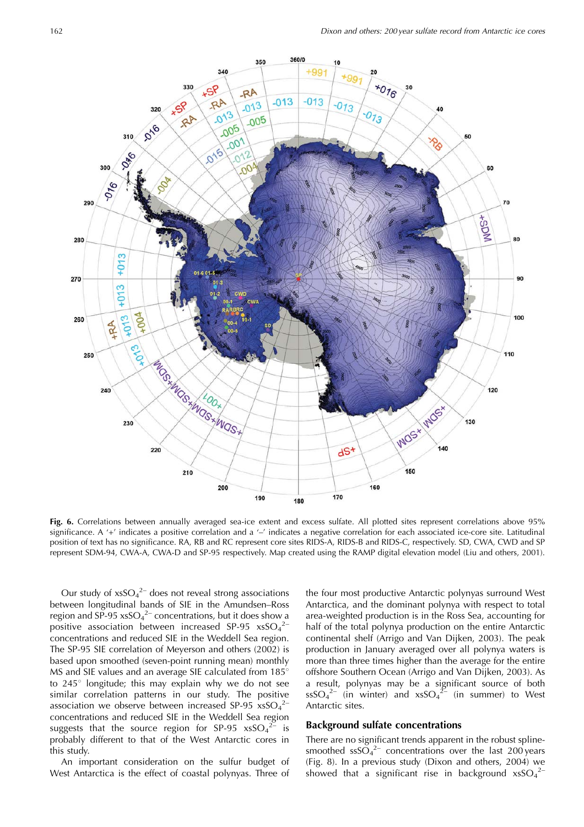

Fig. 6. Correlations between annually averaged sea-ice extent and excess sulfate. All plotted sites represent correlations above 95% significance. A '+' indicates a positive correlation and a '-' indicates a negative correlation for each associated ice-core site. Latitudinal position of text has no significance. RA, RB and RC represent core sites RIDS-A, RIDS-B and RIDS-C, respectively. SD, CWA, CWD and SP represent SDM-94, CWA-A, CWA-D and SP-95 respectively. Map created using the RAMP digital elevation model (Liu and others, 2001).

Our study of  $x$ s $SO_4^2$  does not reveal strong associations between longitudinal bands of SIE in the Amundsen-Ross region and  $SP-95$  xsSO<sub>4</sub><sup>2</sup> concentrations, but it does show a positive association between increased SP-95  $x$ sSO<sub>4</sub><sup>2-</sup> concentrations and reduced SIE in the Weddell Sea region. The SP-95 SIE correlation of Meyerson and others (2002) is based upon smoothed (seven-point running mean) monthly MS and SIE values and an average SIE calculated from 185° to 245° longitude; this may explain why we do not see similar correlation patterns in our study. The positive association we observe between increased SP-95  $x$ sSO<sub>4</sub><sup>2-</sup> concentrations and reduced SIE in the Weddell Sea region suggests that the source region for SP-95  $xsSO<sub>4</sub><sup>2</sup>$  $-$  is probably different to that of the West Antarctic cores in this study.

An important consideration on the sulfur budget of West Antarctica is the effect of coastal polynyas. Three of the four most productive Antarctic polynyas surround West Antarctica, and the dominant polynya with respect to total area-weighted production is in the Ross Sea, accounting for half of the total polynya production on the entire Antarctic continental shelf (Arrigo and Van Dijken, 2003). The peak production in January averaged over all polynya waters is more than three times higher than the average for the entire offshore Southern Ocean (Arrigo and Van Dijken, 2003). As a result, polynyas may be a significant source of both  $\text{ssSO}_4{}^{2-}$  (in winter) and  $\text{xsSO}_4{}^{2-}$  (in summer) to West Antarctic sites.

### **Background sulfate concentrations**

There are no significant trends apparent in the robust splinesmoothed  $\frac{1}{2}$  concentrations over the last 200 years (Fig. 8). In a previous study (Dixon and others, 2004) we showed that a significant rise in background  $x$ sSO<sub>4</sub><sup>2</sup>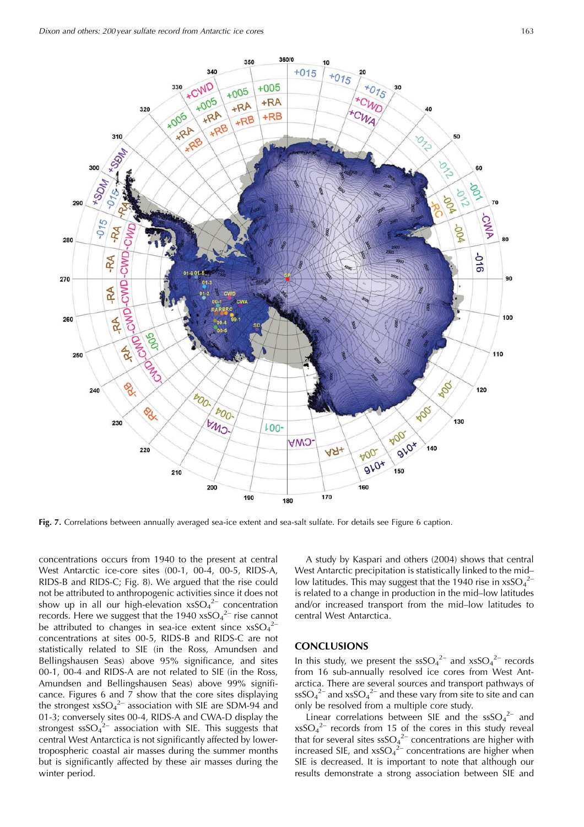

Fig. 7. Correlations between annually averaged sea-ice extent and sea-salt sulfate. For details see Figure 6 caption.

concentrations occurs from 1940 to the present at central West Antarctic ice-core sites (00-1, 00-4, 00-5, RIDS-A, RIDS-B and RIDS-C; Fig. 8). We argued that the rise could not be attributed to anthropogenic activities since it does not show up in all our high-elevation  $xsSO<sub>4</sub><sup>2-</sup>$  concentration records. Here we suggest that the 1940  $x$ sSO<sub>4</sub><sup>2-</sup> rise cannot be attributed to changes in sea-ice extent since  $x$ sSO<sub>4</sub><sup>2-</sup> concentrations at sites 00-5, RIDS-B and RIDS-C are not statistically related to SIE (in the Ross, Amundsen and Bellingshausen Seas) above 95% significance, and sites 00-1, 00-4 and RIDS-A are not related to SIE (in the Ross, Amundsen and Bellingshausen Seas) above 99% significance. Figures 6 and 7 show that the core sites displaying the strongest  $x\,s\,SO_4{}^{2-}$  association with SIE are SDM-94 and 01-3; conversely sites 00-4, RIDS-A and CWA-D display the strongest  $ssSO<sub>4</sub><sup>2-</sup>$  association with SIE. This suggests that central West Antarctica is not significantly affected by lowertropospheric coastal air masses during the summer months but is significantly affected by these air masses during the winter period.

A study by Kaspari and others (2004) shows that central West Antarctic precipitation is statistically linked to the midlow latitudes. This may suggest that the 1940 rise in  $x$ sSO<sub>4</sub><sup>2-</sup> is related to a change in production in the mid-low latitudes and/or increased transport from the mid-low latitudes to central West Antarctica.

## **CONCLUSIONS**

In this study, we present the  $\text{ssSO}_4^{2-}$  and  $\text{xsSO}_4^{2-}$  records from 16 sub-annually resolved ice cores from West Antarctica. There are several sources and transport pathways of  $\text{ssSO}_4{}^{2-}$  and  $\text{xsSO}_4{}^{2-}$  and these vary from site to site and can only be resolved from a multiple core study.

Linear correlations between SIE and the  $\text{ssSO}_4^{2-}$  and  $x$ sSO<sub>4</sub><sup>2-</sup> records from 15 of the cores in this study reveal that for several sites  $\frac{1}{2}$  concentrations are higher with<br>increased SIE, and  $x$ sSO<sub>4</sub><sup>2</sup> concentrations are higher when SIE is decreased. It is important to note that although our results demonstrate a strong association between SIE and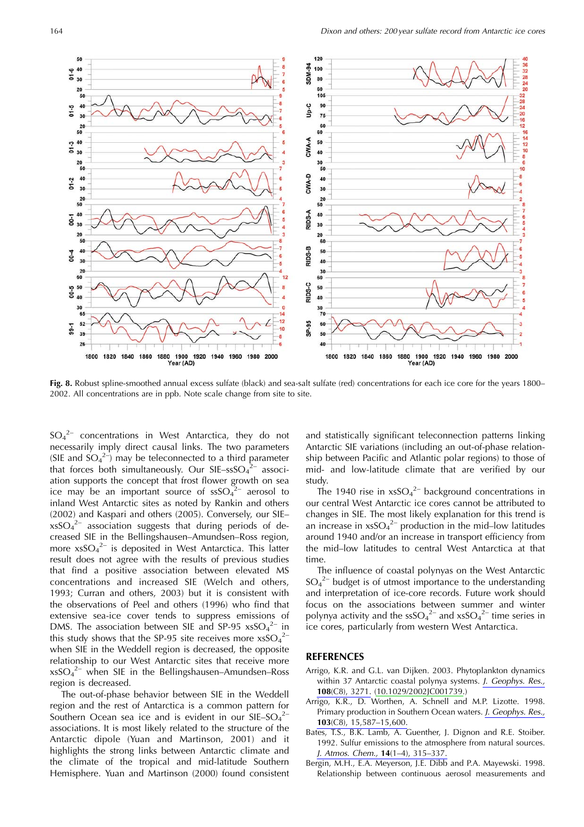

Fig. 8. Robust spline-smoothed annual excess sulfate (black) and sea-salt sulfate (red) concentrations for each ice core for the years 1800– 2002. All concentrations are in ppb. Note scale change from site to site.

 $SO_4^2$  concentrations in West Antarctica, they do not necessarily imply direct causal links. The two parameters (SIE and  $SO_4^2$ ) may be teleconnected to a third parameter that forces both simultaneously. Our  $SIE-ssSO<sub>4</sub><sup>2-</sup>$  association supports the concept that frost flower growth on sea ice may be an important source of  $ssSO<sub>4</sub><sup>2-</sup>$  aerosol to inland West Antarctic sites as noted by Rankin and others (2002) and Kaspari and others (2005). Conversely, our SIE $x$ sSO<sub>4</sub><sup>2-</sup> association suggests that during periods of decreased SIE in the Bellingshausen-Amundsen-Ross region, more  $x\,s\,s\,O_4^2$  is deposited in West Antarctica. This latter result does not agree with the results of previous studies that find a positive association between elevated MS concentrations and increased SIE (Welch and others, 1993; Curran and others, 2003) but it is consistent with the observations of Peel and others (1996) who find that extensive sea-ice cover tends to suppress emissions of DMS. The association between SIE and SP-95  $xSO<sub>4</sub><sup>2-</sup>$  in this study shows that the SP-95 site receives more  $x$ sSO<sub>4</sub><sup>2-</sup> when SIE in the Weddell region is decreased, the opposite relationship to our West Antarctic sites that receive more  $x\text{sSO}_4{}^{2-}$  when SIE in the Bellingshausen-Amundsen-Ross region is decreased.

The out-of-phase behavior between SIE in the Weddell region and the rest of Antarctica is a common pattern for Southern Ocean sea ice and is evident in our  $SIE-SO<sub>4</sub><sup>2</sup>$ associations. It is most likely related to the structure of the Antarctic dipole (Yuan and Martinson, 2001) and it highlights the strong links between Antarctic climate and the climate of the tropical and mid-latitude Southern Hemisphere. Yuan and Martinson (2000) found consistent and statistically significant teleconnection patterns linking Antarctic SIE variations (including an out-of-phase relationship between Pacific and Atlantic polar regions) to those of mid- and low-latitude climate that are verified by our study.

The 1940 rise in  $xsSO<sub>4</sub><sup>2-</sup>$  background concentrations in our central West Antarctic ice cores cannot be attributed to changes in SIE. The most likely explanation for this trend is an increase in  $x\,s{SO_4}^{2-}$  production in the mid-low latitudes around 1940 and/or an increase in transport efficiency from the mid-low latitudes to central West Antarctica at that time.

The influence of coastal polynyas on the West Antarctic  $SO_4^2$  budget is of utmost importance to the understanding and interpretation of ice-core records. Future work should focus on the associations between summer and winter polynya activity and the ssSO<sub>4</sub><sup>2-</sup> and xsSO<sub>4</sub><sup>2-</sup> time series in ice cores, particularly from western West Antarctica.

## **REFERENCES**

- Arrigo, K.R. and G.L. van Dijken. 2003. Phytoplankton dynamics within 37 Antarctic coastal polynya systems. J. Geophys. Res., 108(C8), 3271. (10.1029/2002JC001739.)
- Arrigo, K.R., D. Worthen, A. Schnell and M.P. Lizotte. 1998. Primary production in Southern Ocean waters. J. Geophys. Res.,  $103(C8)$ , 15,587-15,600.
- Bates, T.S., B.K. Lamb, A. Guenther, J. Dignon and R.E. Stoiber. 1992. Sulfur emissions to the atmosphere from natural sources. J. Atmos. Chem., 14(1-4), 315-337.
- Bergin, M.H., E.A. Meyerson, J.E. Dibb and P.A. Mayewski. 1998. Relationship between continuous aerosol measurements and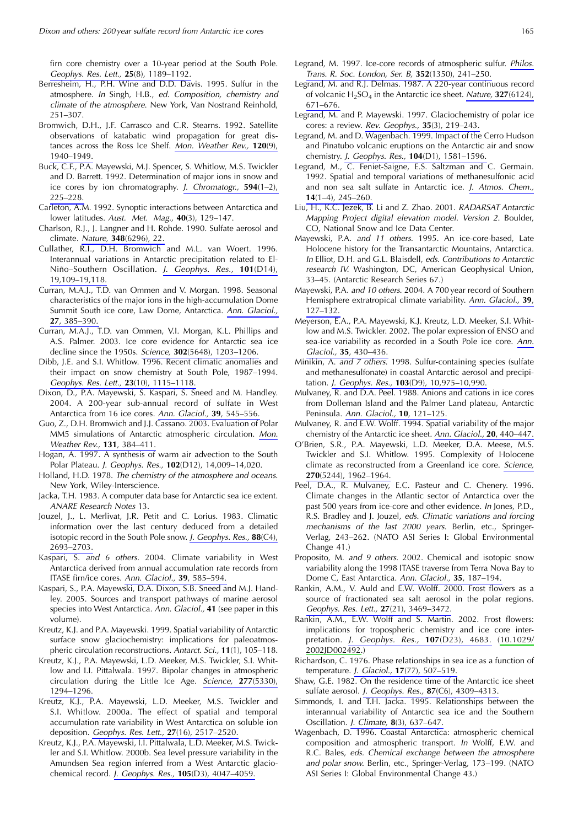firn core chemistry over a 10-year period at the South Pole. Geophys. Res. Lett., 25(8), 1189-1192.

- Berresheim, H., P.H. Wine and D.D. Davis. 1995. Sulfur in the atmosphere. In Singh, H.B., ed. Composition, chemistry and climate of the atmosphere. New York, Van Nostrand Reinhold,  $251 - 307$ .
- Bromwich, D.H., J.F. Carrasco and C.R. Stearns. 1992. Satellite observations of katabatic wind propagation for great distances across the Ross Ice Shelf. Mon. Weather Rev., 120(9), 1940-1949
- Buck, C.F., P.A. Mayewski, M.J. Spencer, S. Whitlow, M.S. Twickler and D. Barrett, 1992. Determination of major jons in snow and ice cores by ion chromatography. J. Chromatogr., 594(1-2),  $225 - 228$
- Carleton, A.M. 1992. Synoptic interactions between Antarctica and lower latitudes. Aust. Met. Mag., 40(3), 129-147.
- Charlson, R.J., J. Langner and H. Rohde. 1990. Sulfate aerosol and climate. Nature, 348(6296), 22.
- Cullather, R.I., D.H. Bromwich and M.L. van Woert. 1996. Interannual variations in Antarctic precipitation related to El-Niño-Southern Oscillation. J. Geophys. Res., 101(D14), 19.109-19.118.
- Curran, M.A.J., T.D. van Ommen and V. Morgan. 1998. Seasonal characteristics of the major ions in the high-accumulation Dome Summit South ice core, Law Dome, Antarctica. Ann. Glaciol., 27.385-390.
- Curran, M.A.J., T.D. van Ommen, V.I. Morgan, K.L. Phillips and A.S. Palmer. 2003. Ice core evidence for Antarctic sea ice decline since the 1950s. Science, 302(5648), 1203-1206.
- Dibb, J.E. and S.I. Whitlow. 1996. Recent climatic anomalies and their impact on snow chemistry at South Pole, 1987-1994. Geophys. Res. Lett., 23(10), 1115-1118.
- Dixon, D., P.A. Mayewski, S. Kaspari, S. Sneed and M. Handley. 2004. A 200-year sub-annual record of sulfate in West Antarctica from 16 ice cores. Ann. Glaciol., 39, 545-556.
- Guo, Z., D.H. Bromwich and J.J. Cassano. 2003. Evaluation of Polar MM5 simulations of Antarctic atmospheric circulation. Mon. Weather Rev., 131, 384-411.
- Hogan, A. 1997. A synthesis of warm air advection to the South Polar Plateau. J. Geophys. Res., 102(D12), 14,009-14,020.
- Holland, H.D. 1978. The chemistry of the atmosphere and oceans. New York, Wiley-Interscience.
- Jacka, T.H. 1983. A computer data base for Antarctic sea ice extent. **ANARE Research Notes 13.**
- Jouzel, J., L. Merlivat, J.R. Petit and C. Lorius. 1983. Climatic information over the last century deduced from a detailed isotopic record in the South Pole snow. J. Geophys. Res., 88(C4), 2693-2703.
- Kaspari, S. and 6 others. 2004. Climate variability in West Antarctica derived from annual accumulation rate records from ITASE firn/ice cores. Ann. Glaciol., 39, 585-594.
- Kaspari, S., P.A. Mayewski, D.A. Dixon, S.B. Sneed and M.J. Handley. 2005. Sources and transport pathways of marine aerosol species into West Antarctica. Ann. Glaciol., 41 (see paper in this volume).
- Kreutz, K.J. and P.A. Mayewski. 1999. Spatial variability of Antarctic surface snow glaciochemistry: implications for paleoatmospheric circulation reconstructions. Antarct. Sci., 11(1), 105–118.
- Kreutz, K.J., P.A. Mayewski, L.D. Meeker, M.S. Twickler, S.I. Whitlow and I.I. Pittalwala. 1997. Bipolar changes in atmospheric circulation during the Little Ice Age. Science, 277(5330), 1294-1296.
- Kreutz, K.J., P.A. Mayewski, L.D. Meeker, M.S. Twickler and S.I. Whitlow. 2000a. The effect of spatial and temporal accumulation rate variability in West Antarctica on soluble ion deposition. Geophys. Res. Lett., 27(16), 2517-2520.
- Kreutz, K.J., P.A. Mayewski, I.I. Pittalwala, L.D. Meeker, M.S. Twickler and S.I. Whitlow. 2000b. Sea level pressure variability in the Amundsen Sea region inferred from a West Antarctic glaciochemical record. J. Geophys. Res., 105(D3), 4047-4059.
- Legrand, M. 1997. Ice-core records of atmospheric sulfur. Philos. Trans. R. Soc. London, Ser. B, 352(1350), 241-250.
- Legrand, M. and R.J. Delmas. 1987. A 220-year continuous record of volcanic  $H_2SO_4$  in the Antarctic ice sheet. Nature, 327(6124), 671-676.
- Legrand, M. and P. Mayewski. 1997. Glaciochemistry of polar ice cores: a review. Rev. Geophys., 35(3), 219-243.
- Legrand, M. and D. Wagenbach. 1999. Impact of the Cerro Hudson and Pinatubo volcanic eruptions on the Antarctic air and snow chemistry. J. Geophys. Res., 104(D1), 1581-1596.
- Legrand, M., C. Feniet-Saigne, E.S. Saltzman and C. Germain. 1992. Spatial and temporal variations of methanesulfonic acid and non sea salt sulfate in Antarctic ice. J. Atmos. Chem.,  $14(1-4), 245-260.$
- Liu, H., K.C. Jezek, B. Li and Z. Zhao. 2001. RADARSAT Antarctic Mapping Project digital elevation model. Version 2. Boulder, CO, National Snow and Ice Data Center.
- Mayewski, P.A. and 11 others. 1995. An ice-core-based, Late Holocene history for the Transantarctic Mountains, Antarctica. In Elliot, D.H. and G.L. Blaisdell, eds. Contributions to Antarctic research IV. Washington, DC, American Geophysical Union, 33-45. (Antarctic Research Series 67.)
- Mayewski, P.A. and 10 others. 2004. A 700 year record of Southern Hemisphere extratropical climate variability. Ann. Glaciol., 39,  $127 - 132.$
- Meyerson, E.A., P.A. Mayewski, K.J. Kreutz, L.D. Meeker, S.I. Whitlow and M.S. Twickler. 2002. The polar expression of ENSO and sea-ice variability as recorded in a South Pole ice core. Ann. Glaciol., 35, 430-436.
- Minikin, A. and 7 others. 1998. Sulfur-containing species (sulfate and methanesulfonate) in coastal Antarctic aerosol and precipitation. J. Geophys. Res., 103(D9), 10,975-10,990.
- Mulvaney, R. and D.A. Peel. 1988. Anions and cations in ice cores from Dolleman Island and the Palmer Land plateau, Antarctic Peninsula. Ann. Glaciol., 10, 121-125.
- Mulvaney, R. and E.W. Wolff. 1994. Spatial variability of the major chemistry of the Antarctic ice sheet. Ann. Glaciol., 20, 440-447.
- O'Brien, S.R., P.A. Mayewski, L.D. Meeker, D.A. Meese, M.S. Twickler and S.I. Whitlow. 1995. Complexity of Holocene climate as reconstructed from a Greenland ice core. Science, 270(5244), 1962-1964.
- Peel, D.A., R. Mulvaney, E.C. Pasteur and C. Chenery. 1996. Climate changes in the Atlantic sector of Antarctica over the past 500 years from ice-core and other evidence. In Jones, P.D., R.S. Bradley and J. Jouzel, eds. Climatic variations and forcing mechanisms of the last 2000 years. Berlin, etc., Springer-Verlag, 243-262. (NATO ASI Series I: Global Environmental Change  $41.$ )
- Proposito, M. and 9 others. 2002. Chemical and isotopic snow variability along the 1998 ITASE traverse from Terra Nova Bay to Dome C, East Antarctica. Ann. Glaciol., 35, 187-194.
- Rankin, A.M., V. Auld and E.W. Wolff. 2000. Frost flowers as a source of fractionated sea salt aerosol in the polar regions. Geophys. Res. Lett., 27(21), 3469-3472.
- Rankin, A.M., E.W. Wolff and S. Martin. 2002. Frost flowers: implications for tropospheric chemistry and ice core interpretation. J. Geophys. Res., 107(D23), 4683. (10.1029/ 2002JD002492.)
- Richardson, C. 1976. Phase relationships in sea ice as a function of temperature. J. Glaciol., 17(77), 507-519.
- Shaw, G.E. 1982. On the residence time of the Antarctic ice sheet sulfate aerosol. J. Geophys. Res., 87(C6), 4309-4313.
- Simmonds, I. and T.H. Jacka. 1995. Relationships between the interannual variability of Antarctic sea ice and the Southern Oscillation. J. Climate, 8(3), 637-647.
- Wagenbach, D. 1996. Coastal Antarctica: atmospheric chemical composition and atmospheric transport. In Wolff, E.W. and R.C. Bales, eds. Chemical exchange between the atmosphere and polar snow. Berlin, etc., Springer-Verlag, 173-199. (NATO ASI Series I: Global Environmental Change 43.)